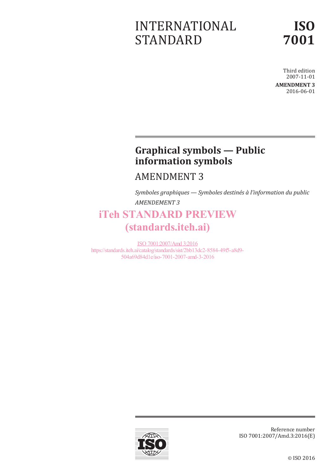# INTERNATIONAL STANDARD

Third edition 2007-11-01

**AMENDMENT 3** 2016-06-01

## **Graphical symbols — Public information symbols**

## AMENDMENT 3

*Symboles graphiques — Symboles destinés à l'information du public*

### *AMENDEMENT 3*

## iTeh STANDARD PREVIEW (standards.iteh.ai)

ISO 7001:2007/Amd 3:2016 https://standards.iteh.ai/catalog/standards/sist/2bb13dc2-8584-49f5-a8d9- 504a69d84d1e/iso-7001-2007-amd-3-2016



Reference number ISO 7001:2007/Amd.3:2016(E)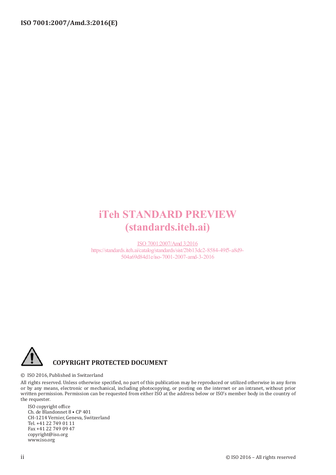## iTeh STANDARD PREVIEW (standards.iteh.ai)

ISO 7001:2007/Amd 3:2016 https://standards.iteh.ai/catalog/standards/sist/2bb13dc2-8584-49f5-a8d9- 504a69d84d1e/iso-7001-2007-amd-3-2016



#### © ISO 2016, Published in Switzerland

All rights reserved. Unless otherwise specified, no part of this publication may be reproduced or utilized otherwise in any form or by any means, electronic or mechanical, including photocopying, or posting on the internet or an intranet, without prior written permission. Permission can be requested from either ISO at the address below or ISO's member body in the country of the requester.

ISO copyright office Ch. de Blandonnet 8 • CP 401 CH-1214 Vernier, Geneva, Switzerland Tel. +41 22 749 01 11 Fax +41 22 749 09 47 copyright@iso.org www.iso.org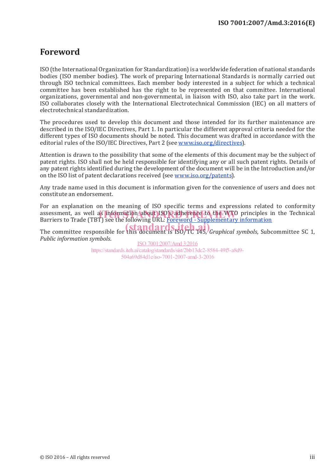### **Foreword**

ISO (the International Organization for Standardization) is a worldwide federation of national standards bodies (ISO member bodies). The work of preparing International Standards is normally carried out through ISO technical committees. Each member body interested in a subject for which a technical committee has been established has the right to be represented on that committee. International organizations, governmental and non-governmental, in liaison with ISO, also take part in the work. ISO collaborates closely with the International Electrotechnical Commission (IEC) on all matters of electrotechnical standardization.

The procedures used to develop this document and those intended for its further maintenance are described in the ISO/IEC Directives, Part 1. In particular the different approval criteria needed for the different types of ISO documents should be noted. This document was drafted in accordance with the editorial rules of the ISO/IEC Directives, Part 2 (see www.iso.org/directives).

Attention is drawn to the possibility that some of the elements of this document may be the subject of patent rights. ISO shall not be held responsible for identifying any or all such patent rights. Details of any patent rights identified during the development of the document will be in the Introduction and/or on the ISO list of patent declarations received (see www.iso.org/patents).

Any trade name used in this document is information given for the convenience of users and does not constitute an endorsement.

For an explanation on the meaning of ISO specific terms and expressions related to conformity assessment, as well as information about ISO's adherence to the WTO principles in the Technical<br>Barriers to Trade (TBT) see the following URL: Foreword - Supplementary information Barriers to Trade (TBT) see the following URL: Foreword - Supplementary information

The committee responsible for this document is ISO/TC 145, *Graphical symbols*, Subcommittee SC 1, *Public information symbols*.

ISO 7001:2007/Amd 3:2016 https://standards.iteh.ai/catalog/standards/sist/2bb13dc2-8584-49f5-a8d9- 504a69d84d1e/iso-7001-2007-amd-3-2016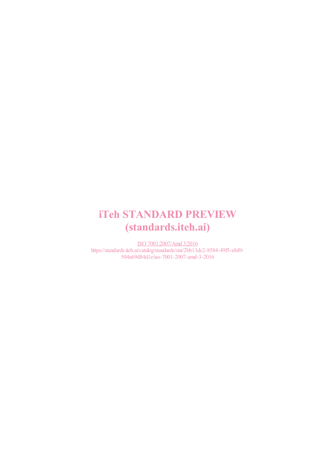## iTeh STANDARD PREVIEW (standards.iteh.ai)

ISO 7001:2007/Amd 3:2016 https://standards.iteh.ai/catalog/standards/sist/2bb13dc2-8584-49f5-a8d9- 504a69d84d1e/iso-7001-2007-amd-3-2016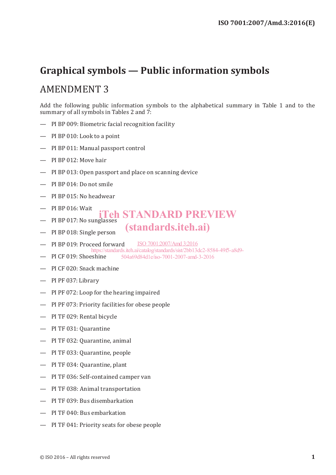## **Graphical symbols — Public information symbols**

## AMENDMENT 3

Add the following public information symbols to the alphabetical summary in Table 1 and to the summary of all symbols in Tables 2 and 7:

- PI BP 009: Biometric facial recognition facility
- PI BP 010: Look to a point
- PI BP 011: Manual passport control
- PI BP 012: Move hair
- PI BP 013: Open passport and place on scanning device
- PI BP 014: Do not smile
- PI BP 015: No headwear
- PI BP 016: Wait
- PI BP 017: No sunglasses iTeh STANDARD PREVIEW
- PI BP 018: Single person
- PI BP 019: Proceed forward ISO 7001:2007/Amd 3:2016
	- https://standards.iteh.ai/catalog/standards/sist/2bb13dc2-8584-49f5-a8d9-

(standards.iteh.ai)

- PI CF 019: Shoeshine 504a69d84d1e/iso-7001-2007-amd-3-2016
- PI CF 020: Snack machine
- PI PF 037: Library
- PI PF 072: Loop for the hearing impaired
- PI PF 073: Priority facilities for obese people
- PI TF 029: Rental bicycle
- PI TF 031: Quarantine
- PI TF 032: Quarantine, animal
- PI TF 033: Quarantine, people
- PI TF 034: Quarantine, plant
- PI TF 036: Self-contained camper van
- PI TF 038: Animal transportation
- PI TF 039: Bus disembarkation
- PI TF 040: Bus embarkation
- PI TF 041: Priority seats for obese people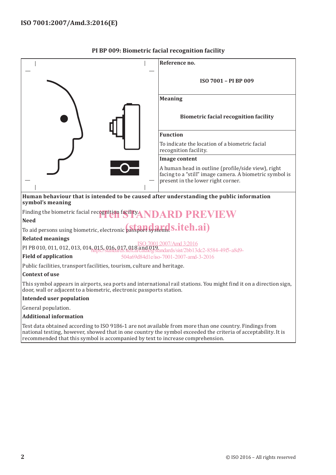#### **PI BP 009: Biometric facial recognition facility**



recommended that this symbol is accompanied by text to increase comprehension.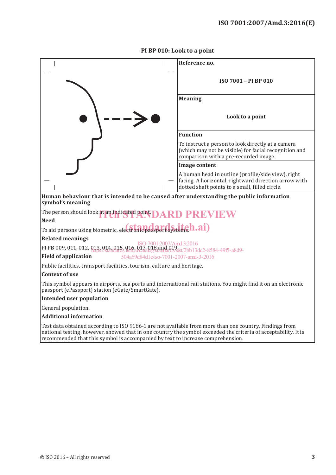### **ISO 7001:2007/Amd.3:2016(E)**

#### **PI BP 010: Look to a point**

|                                                                                                                                                                                                                                                                                                           | Reference no.                                                                                                                                                |  |
|-----------------------------------------------------------------------------------------------------------------------------------------------------------------------------------------------------------------------------------------------------------------------------------------------------------|--------------------------------------------------------------------------------------------------------------------------------------------------------------|--|
|                                                                                                                                                                                                                                                                                                           | ISO 7001 - PI BP 010                                                                                                                                         |  |
|                                                                                                                                                                                                                                                                                                           | <b>Meaning</b>                                                                                                                                               |  |
|                                                                                                                                                                                                                                                                                                           | Look to a point                                                                                                                                              |  |
|                                                                                                                                                                                                                                                                                                           | <b>Function</b>                                                                                                                                              |  |
|                                                                                                                                                                                                                                                                                                           | To instruct a person to look directly at a camera<br>(which may not be visible) for facial recognition and<br>comparison with a pre-recorded image.          |  |
|                                                                                                                                                                                                                                                                                                           | <b>Image content</b>                                                                                                                                         |  |
|                                                                                                                                                                                                                                                                                                           | A human head in outline (profile/side view), right<br>facing. A horizontal, rightward direction arrow with<br>dotted shaft points to a small, filled circle. |  |
| Human behaviour that is intended to be caused after understanding the public information<br>symbol's meaning                                                                                                                                                                                              |                                                                                                                                                              |  |
| The person should look at an indicated point. DARD PREVIEW                                                                                                                                                                                                                                                |                                                                                                                                                              |  |
| Need                                                                                                                                                                                                                                                                                                      |                                                                                                                                                              |  |
| To aid persons using biometric, electronic passport systement.ai)                                                                                                                                                                                                                                         |                                                                                                                                                              |  |
| <b>Related meanings</b>                                                                                                                                                                                                                                                                                   |                                                                                                                                                              |  |
| PI PB 009, 011, 012, 013, 014, 015, 016, 017, 018 and 019.                                                                                                                                                                                                                                                |                                                                                                                                                              |  |
| <b>Field of application</b><br>504a69d84d1e/iso-7001-2007-amd-3-2016                                                                                                                                                                                                                                      |                                                                                                                                                              |  |
| Public facilities, transport facilities, tourism, culture and heritage.                                                                                                                                                                                                                                   |                                                                                                                                                              |  |
| <b>Context of use</b>                                                                                                                                                                                                                                                                                     |                                                                                                                                                              |  |
| This symbol appears in airports, sea ports and international rail stations. You might find it on an electronic<br>passport (ePassport) station (eGate/SmartGate).                                                                                                                                         |                                                                                                                                                              |  |
| Intended user population                                                                                                                                                                                                                                                                                  |                                                                                                                                                              |  |
| General population.                                                                                                                                                                                                                                                                                       |                                                                                                                                                              |  |
| <b>Additional information</b>                                                                                                                                                                                                                                                                             |                                                                                                                                                              |  |
| Test data obtained according to ISO 9186-1 are not available from more than one country. Findings from<br>national testing, however, showed that in one country the symbol exceeded the criteria of acceptability. It is<br>recommended that this symbol is accompanied by text to increase comprehension |                                                                                                                                                              |  |

recommended that this symbol is accompanied by text to increase comprehension.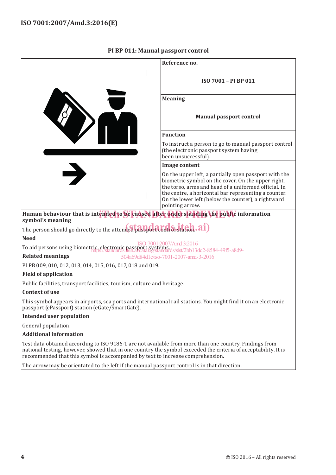|                                                                                                                                                                                                                                                                                                            | Reference no.                                                                                                                                                                                                                                                                                        |  |
|------------------------------------------------------------------------------------------------------------------------------------------------------------------------------------------------------------------------------------------------------------------------------------------------------------|------------------------------------------------------------------------------------------------------------------------------------------------------------------------------------------------------------------------------------------------------------------------------------------------------|--|
|                                                                                                                                                                                                                                                                                                            | ISO 7001 - PI BP 011                                                                                                                                                                                                                                                                                 |  |
|                                                                                                                                                                                                                                                                                                            | <b>Meaning</b><br><b>Manual passport control</b>                                                                                                                                                                                                                                                     |  |
|                                                                                                                                                                                                                                                                                                            | <b>Function</b>                                                                                                                                                                                                                                                                                      |  |
|                                                                                                                                                                                                                                                                                                            | To instruct a person to go to manual passport control<br>(the electronic passport system having<br>been unsuccessful).                                                                                                                                                                               |  |
|                                                                                                                                                                                                                                                                                                            | <b>Image content</b>                                                                                                                                                                                                                                                                                 |  |
|                                                                                                                                                                                                                                                                                                            | On the upper left, a partially open passport with the<br>biometric symbol on the cover. On the upper right,<br>the torso, arms and head of a uniformed official. In<br>the centre, a horizontal bar representing a counter.<br>On the lower left (below the counter), a rightward<br>pointing arrow. |  |
| Human behaviour that is intended to be caused after understanding the public information                                                                                                                                                                                                                   |                                                                                                                                                                                                                                                                                                      |  |
| symbol's meaning<br>The person should go directly to the attended passport control station. ai)<br>Need                                                                                                                                                                                                    |                                                                                                                                                                                                                                                                                                      |  |
| ISO 7001:2007/Amd 3:2016<br>To aid persons using biometric, electronic passport, systems discussed and persons using biometric, electronic<br><b>Related meanings</b><br>504a69d84d1e/iso-7001-2007-amd-3-2016                                                                                             |                                                                                                                                                                                                                                                                                                      |  |
| PI PB 009, 010, 012, 013, 014, 015, 016, 017, 018 and 019.                                                                                                                                                                                                                                                 |                                                                                                                                                                                                                                                                                                      |  |
| <b>Field of application</b>                                                                                                                                                                                                                                                                                |                                                                                                                                                                                                                                                                                                      |  |
| Public facilities, transport facilities, tourism, culture and heritage.                                                                                                                                                                                                                                    |                                                                                                                                                                                                                                                                                                      |  |
| <b>Context of use</b>                                                                                                                                                                                                                                                                                      |                                                                                                                                                                                                                                                                                                      |  |
| This symbol appears in airports, sea ports and international rail stations. You might find it on an electronic<br>passport (ePassport) station (eGate/SmartGate).                                                                                                                                          |                                                                                                                                                                                                                                                                                                      |  |
| Intended user population                                                                                                                                                                                                                                                                                   |                                                                                                                                                                                                                                                                                                      |  |
| General population.                                                                                                                                                                                                                                                                                        |                                                                                                                                                                                                                                                                                                      |  |
| <b>Additional information</b>                                                                                                                                                                                                                                                                              |                                                                                                                                                                                                                                                                                                      |  |
| Test data obtained according to ISO 9186-1 are not available from more than one country. Findings from<br>national testing, however, showed that in one country the symbol exceeded the criteria of acceptability. It is<br>recommended that this symbol is accompanied by text to increase comprehension. |                                                                                                                                                                                                                                                                                                      |  |
|                                                                                                                                                                                                                                                                                                            | The arrow may be orientated to the left if the manual passport control is in that direction.                                                                                                                                                                                                         |  |

#### **PI BP 011: Manual passport control**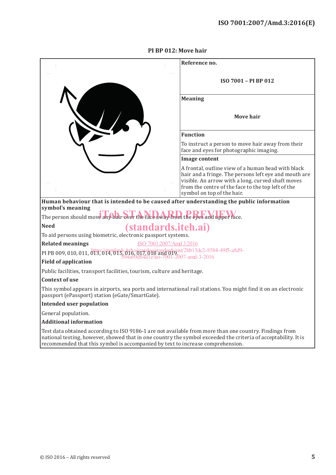### **ISO 7001:2007/Amd.3:2016(E)**

**PI BP 012: Move hair**

|                                                                                                                                                                                                                                                                                                            | Reference no.                                                                                                                                                                                                                                        |  |
|------------------------------------------------------------------------------------------------------------------------------------------------------------------------------------------------------------------------------------------------------------------------------------------------------------|------------------------------------------------------------------------------------------------------------------------------------------------------------------------------------------------------------------------------------------------------|--|
|                                                                                                                                                                                                                                                                                                            | ISO 7001 - PI BP 012                                                                                                                                                                                                                                 |  |
|                                                                                                                                                                                                                                                                                                            | <b>Meaning</b>                                                                                                                                                                                                                                       |  |
|                                                                                                                                                                                                                                                                                                            | Move hair                                                                                                                                                                                                                                            |  |
|                                                                                                                                                                                                                                                                                                            | <b>Function</b>                                                                                                                                                                                                                                      |  |
|                                                                                                                                                                                                                                                                                                            | To instruct a person to move hair away from their<br>face and eyes for photographic imaging.                                                                                                                                                         |  |
|                                                                                                                                                                                                                                                                                                            | <b>Image content</b>                                                                                                                                                                                                                                 |  |
|                                                                                                                                                                                                                                                                                                            | A frontal, outline view of a human head with black<br>hair and a fringe. The persons left eye and mouth are<br>visible. An arrow with a long, curved shaft moves<br>from the centre of the face to the top left of the<br>symbol on top of the hair. |  |
| Human behaviour that is intended to be caused after understanding the public information                                                                                                                                                                                                                   |                                                                                                                                                                                                                                                      |  |
| symbol's meaning                                                                                                                                                                                                                                                                                           |                                                                                                                                                                                                                                                      |  |
| The person should move any hair over the face away from the eyes and upper face.                                                                                                                                                                                                                           |                                                                                                                                                                                                                                                      |  |
| <b>Need</b><br>(standards.iteh.ai)                                                                                                                                                                                                                                                                         |                                                                                                                                                                                                                                                      |  |
| To aid persons using biometric, electronic passport systems.                                                                                                                                                                                                                                               |                                                                                                                                                                                                                                                      |  |
| ISO 7001:2007/Amd 3:2016<br><b>Related meanings</b>                                                                                                                                                                                                                                                        |                                                                                                                                                                                                                                                      |  |
| PI PB 009, 010, 011, 013, 014, 015, 016, 017, 018 and 019 standards ist/2bb13dc2-8584-49f5-a8d9-<br>04a69d84d1e/iso-7001-2007-amd-3-2016                                                                                                                                                                   |                                                                                                                                                                                                                                                      |  |
| <b>Field of application</b>                                                                                                                                                                                                                                                                                |                                                                                                                                                                                                                                                      |  |
| Public facilities, transport facilities, tourism, culture and heritage.                                                                                                                                                                                                                                    |                                                                                                                                                                                                                                                      |  |
| <b>Context of use</b>                                                                                                                                                                                                                                                                                      |                                                                                                                                                                                                                                                      |  |
| This symbol appears in airports, sea ports and international rail stations. You might find it on an electronic<br>passport (ePassport) station (eGate/SmartGate).                                                                                                                                          |                                                                                                                                                                                                                                                      |  |
| Intended user population                                                                                                                                                                                                                                                                                   |                                                                                                                                                                                                                                                      |  |
| General population.                                                                                                                                                                                                                                                                                        |                                                                                                                                                                                                                                                      |  |
| <b>Additional information</b>                                                                                                                                                                                                                                                                              |                                                                                                                                                                                                                                                      |  |
| Test data obtained according to ISO 9186-1 are not available from more than one country. Findings from<br>national testing, however, showed that in one country the symbol exceeded the criteria of acceptability. It is<br>recommended that this symbol is accompanied by text to increase comprehension. |                                                                                                                                                                                                                                                      |  |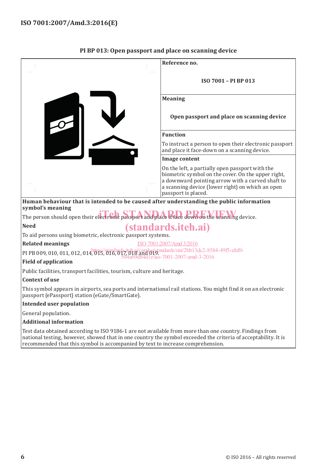### **Reference no. ISO 7001 – PI BP 013 Meaning Open passport and place on scanning device Function** To instruct a person to open their electronic passport and place it face-down on a scanning device. **Image content** On the left, a partially open passport with the biometric symbol on the cover. On the upper right, a downward pointing arrow with a curved shaft to a scanning device (lower right) on which an open passport is placed. **Human behaviour that is intended to be caused after understanding the public information symbol's meaning** The person should open their electronic passport and place it face down on the scanning device. **Need** To aid persons using biometric, electronic passport systems. **Related meanings** PI PB 009, 010, 011, 012, 014, 015, 016, 015, 016, 018, 018, 016, 018, 016, 018, 018, 018, 018, 018, 018, 018 **Field of application** Public facilities, transport facilities, tourism, culture and heritage. **Context of use** This symbol appears in airports, sea ports and international rail stations. You might find it on an electronic passport (ePassport) station (eGate/SmartGate). (standards.iteh.ai) ISO 7001:2007/Amd 3:2016 504a69d84d1e/iso-7001-2007-amd-3-2016

### **PI BP 013: Open passport and place on scanning device**

#### **Intended user population**

General population.

**Additional information**

Test data obtained according to ISO 9186-1 are not available from more than one country. Findings from national testing, however, showed that in one country the symbol exceeded the criteria of acceptability. It is recommended that this symbol is accompanied by text to increase comprehension.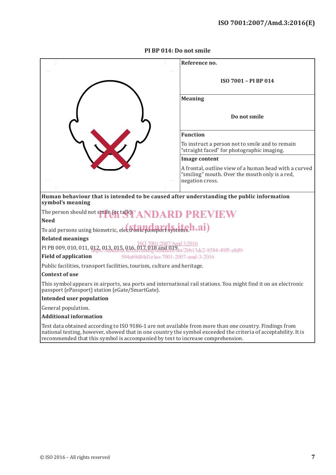### **ISO 7001:2007/Amd.3:2016(E)**

#### **PI BP 014: Do not smile**

|                                                                                                                                                                                                                                                                                                            | Reference no.                                                                                                              |  |
|------------------------------------------------------------------------------------------------------------------------------------------------------------------------------------------------------------------------------------------------------------------------------------------------------------|----------------------------------------------------------------------------------------------------------------------------|--|
|                                                                                                                                                                                                                                                                                                            | ISO 7001 - PI BP 014                                                                                                       |  |
|                                                                                                                                                                                                                                                                                                            | <b>Meaning</b>                                                                                                             |  |
|                                                                                                                                                                                                                                                                                                            | Do not smile                                                                                                               |  |
|                                                                                                                                                                                                                                                                                                            | <b>Function</b>                                                                                                            |  |
|                                                                                                                                                                                                                                                                                                            | To instruct a person not to smile and to remain<br>"straight faced" for photographic imaging.                              |  |
|                                                                                                                                                                                                                                                                                                            | <b>Image content</b>                                                                                                       |  |
|                                                                                                                                                                                                                                                                                                            | A frontal, outline view of a human head with a curved<br>"smiling" mouth. Over the mouth only is a red,<br>negation cross. |  |
| Human behaviour that is intended to be caused after understanding the public information<br>symbol's meaning                                                                                                                                                                                               |                                                                                                                            |  |
| The person should not smile (or talk) TANDARD PREVIEW<br>Need                                                                                                                                                                                                                                              |                                                                                                                            |  |
| To aid persons using biometric, electrome passport systeme $\ln a$ i)                                                                                                                                                                                                                                      |                                                                                                                            |  |
| <b>Related meanings</b>                                                                                                                                                                                                                                                                                    |                                                                                                                            |  |
| O 7001:2007/Amd 3:2016<br>PI PB 009, 010, 011, 012, 013, 015, 016, 017, 018 and 019.<br>b13dc2-8584-49f5-a8d9-                                                                                                                                                                                             |                                                                                                                            |  |
| <b>Field of application</b><br>504a69d84d1e/iso-7001-2007-amd-3-2016                                                                                                                                                                                                                                       |                                                                                                                            |  |
| Public facilities, transport facilities, tourism, culture and heritage.                                                                                                                                                                                                                                    |                                                                                                                            |  |
| <b>Context of use</b>                                                                                                                                                                                                                                                                                      |                                                                                                                            |  |
| This symbol appears in airports, sea ports and international rail stations. You might find it on an electronic<br>passport (ePassport) station (eGate/SmartGate).                                                                                                                                          |                                                                                                                            |  |
| Intended user population                                                                                                                                                                                                                                                                                   |                                                                                                                            |  |
| General population.                                                                                                                                                                                                                                                                                        |                                                                                                                            |  |
| <b>Additional information</b>                                                                                                                                                                                                                                                                              |                                                                                                                            |  |
| Test data obtained according to ISO 9186-1 are not available from more than one country. Findings from<br>national testing, however, showed that in one country the symbol exceeded the criteria of acceptability. It is<br>recommended that this symbol is accompanied by text to increase comprehension. |                                                                                                                            |  |